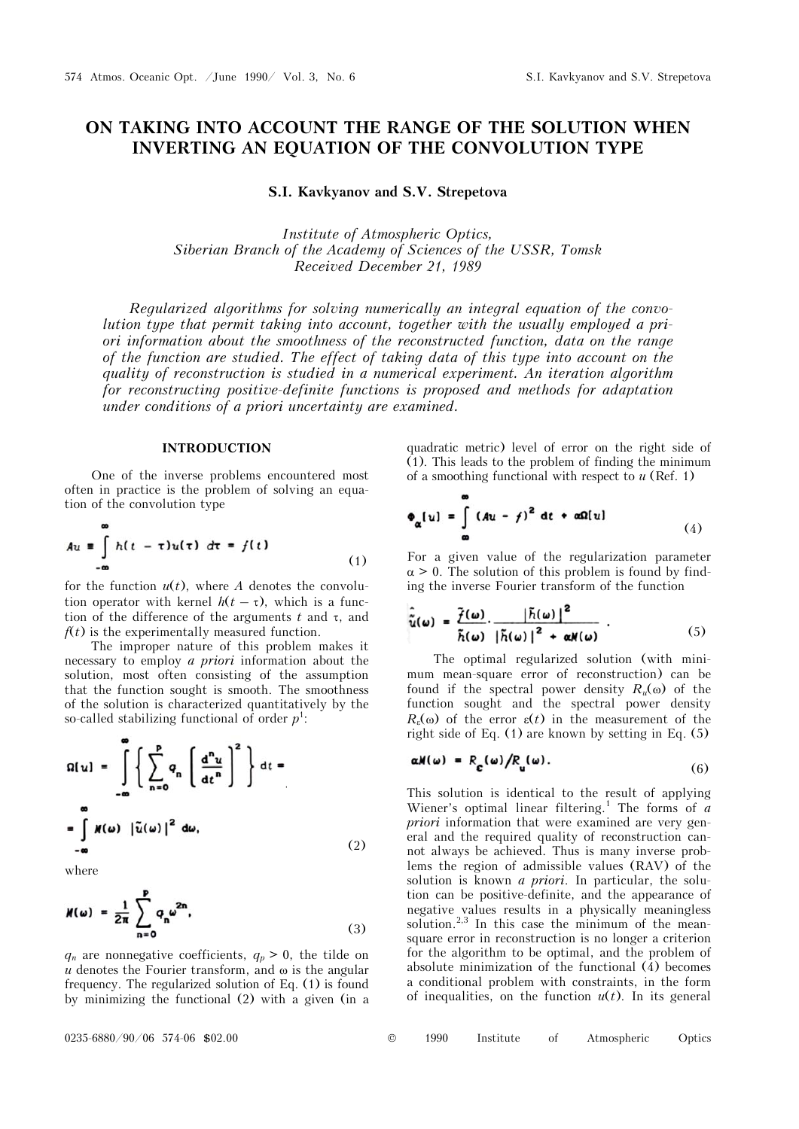# **ON TAKING INTO ACCOUNT THE RANGE OF THE SOLUTION WHEN INVERTING AN EQUATION OF THE CONVOLUTION TYPE**

**S.I. Kavkyanov and S.V. Strepetova** 

*Institute of Atmospheric Optics, Siberian Branch of the Academy of Sciences of the USSR, Tomsk Received December 21, 1989* 

*Regularized algorithms for solving numerically an integral equation of the convolution type that permit taking into account, together with the usually employed a priori information about the smoothness of the reconstructed function, data on the range of the function are studied. The effect of taking data of this type into account on the quality of reconstruction is studied in a numerical experiment. An iteration algorithm for reconstructing positive-definite functions is proposed and methods for adaptation under conditions of a priori uncertainty are examined.* 

### **INTRODUCTION**

One of the inverse problems encountered most often in practice is the problem of solving an equation of the convolution type

$$
Au = \int_{-\infty}^{\infty} h(t - \tau)u(\tau) d\tau = f(t)
$$
 (1)

for the function  $u(t)$ , where *A* denotes the convolution operator with kernel  $h(t - \tau)$ , which is a function of the difference of the arguments  $t$  and  $\tau$ , and  $f(t)$  is the experimentally measured function.

The improper nature of this problem makes it necessary to employ *a priori* information about the solution, most often consisting of the assumption that the function sought is smooth. The smoothness of the solution is characterized quantitatively by the so-called stabilizing functional of order  $p^1$ :

$$
\Omega[u] = \int_{-\infty}^{\infty} \left\{ \sum_{n=0}^{p} q_n \left( \frac{d^n u}{dt^n} \right)^2 \right\} dt =
$$
  

$$
= \int_{-\infty}^{\infty} M(\omega) |\tilde{u}(\omega)|^2 d\omega,
$$
 (2)

where

$$
M(\omega) = \frac{1}{2\pi} \sum_{n=0}^{p} q_n \omega^{2n}.
$$
 (3)

 $q_n$  are nonnegative coefficients,  $q_p > 0$ , the tilde on  $u$  denotes the Fourier transform, and  $\omega$  is the angular frequency. The regularized solution of Eq. (1) is found by minimizing the functional (2) with a given (in a

quadratic metric) level of error on the right side of (1). This leads to the problem of finding the minimum of a smoothing functional with respect to *u* (Ref. 1)

$$
\Phi_{\alpha}[u] = \int_{\infty} (Au - f)^2 dt + \alpha \Omega[u]
$$
 (4)

For a given value of the regularization parameter  $\alpha > 0$ . The solution of this problem is found by finding the inverse Fourier transform of the function

$$
\hat{\tilde{u}}(\omega) = \frac{\tilde{f}(\omega)}{\tilde{h}(\omega)} \cdot \frac{|\tilde{h}(\omega)|^2}{|\tilde{h}(\omega)|^2 + \alpha N(\omega)} \qquad (5)
$$

The optimal regularized solution (with minimum mean-square error of reconstruction) can be found if the spectral power density  $R_u(\omega)$  of the function sought and the spectral power density  $R_{\varepsilon}(\omega)$  of the error  $\varepsilon(t)$  in the measurement of the right side of Eq. (1) are known by setting in Eq. (5)

$$
\alpha N(\omega) = R_{\mathbf{c}}(\omega) / R_{\mathbf{u}}(\omega). \tag{6}
$$

This solution is identical to the result of applying Wiener's optimal linear filtering.<sup>1</sup> The forms of  $a$ *priori* information that were examined are very general and the required quality of reconstruction cannot always be achieved. Thus is many inverse problems the region of admissible values (RAV) of the solution is known *a priori*. In particular, the solution can be positive-definite, and the appearance of negative values results in a physically meaningless solution.<sup>2,3</sup> In this case the minimum of the meansquare error in reconstruction is no longer a criterion for the algorithm to be optimal, and the problem of absolute minimization of the functional (4) becomes a conditional problem with constraints, in the form of inequalities, on the function  $u(t)$ . In its general

| $0235 - 6880 / 90 / 06$ 574-06 \$02.00 |  | 1990 |  |  | Institute of Atmospheric Optics |  |
|----------------------------------------|--|------|--|--|---------------------------------|--|
|----------------------------------------|--|------|--|--|---------------------------------|--|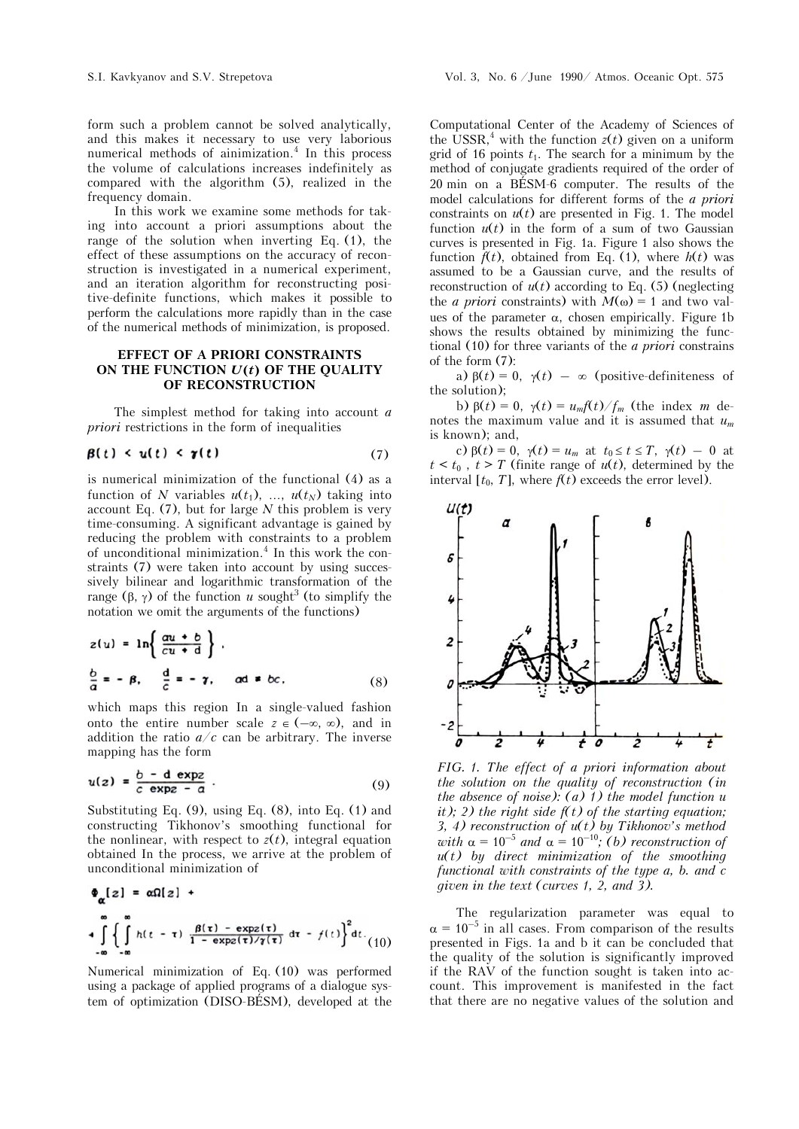In this work we examine some methods for taking into account a priori assumptions about the range of the solution when inverting Eq. (1), the effect of these assumptions on the accuracy of reconstruction is investigated in a numerical experiment, and an iteration algorithm for reconstructing positive-definite functions, which makes it possible to perform the calculations more rapidly than in the case of the numerical methods of minimization, is proposed.

# **EFFECT OF A PRIORI CONSTRAINTS ON THE FUNCTION** *U***(***t***) OF THE QUALITY OF RECONSTRUCTION**

The simplest method for taking into account *a priori* restrictions in the form of inequalities

$$
\beta(t) < u(t) < \gamma(t) \tag{7}
$$

is numerical minimization of the functional (4) as a function of *N* variables  $u(t_1)$ , ...,  $u(t_N)$  taking into account Eq. (7), but for large *N* this problem is very time-consuming. A significant advantage is gained by reducing the problem with constraints to a problem of unconditional minimization.<sup>4</sup> In this work the constraints (7) were taken into account by using successively bilinear and logarithmic transformation of the range  $(\beta, \gamma)$  of the function *u* sought<sup>3</sup> (to simplify the notation we omit the arguments of the functions)

$$
z(u) = \ln\left\{\frac{au + b}{cu + d}\right\}.
$$
  

$$
\frac{b}{a} = -\beta, \quad \frac{d}{c} = -\gamma, \quad ad \ne bc.
$$
 (8)

which maps this region In a single-valued fashion onto the entire number scale  $z \in (-\infty, \infty)$ , and in addition the ratio  $a/c$  can be arbitrary. The inverse mapping has the form

$$
u(z) = \frac{b - d \exp z}{c \exp z - a} \tag{9}
$$

Substituting Eq. (9), using Eq. (8), into Eq. (1) and constructing Tikhonov's smoothing functional for the nonlinear, with respect to  $z(t)$ , integral equation obtained In the process, we arrive at the problem of unconditional minimization of

$$
\Phi_{\alpha}[z] = \alpha \Omega[z] +
$$
  
+ 
$$
\int_{-\infty}^{\infty} \left\{ \int_{-\infty}^{\infty} h(t-\tau) \frac{\beta(\tau) - \exp(z)}{1 - \exp(z/\gamma(\tau))} d\tau - f(t) \right\}^2 dt
$$
 (10)

Numerical minimization of Eq. (10) was performed using a package of applied programs of a dialogue system of optimization (DISO-BÉSM), developed at the

Computational Center of the Academy of Sciences of the USSR,<sup>4</sup> with the function  $z(t)$  given on a uniform grid of 16 points  $t_1$ . The search for a minimum by the method of conjugate gradients required of the order of 20 min on a BÉSM-6 computer. The results of the model calculations for different forms of the *a priori* constraints on  $u(t)$  are presented in Fig. 1. The model function  $u(t)$  in the form of a sum of two Gaussian curves is presented in Fig. 1a. Figure 1 also shows the function  $\hat{f}(t)$ , obtained from Eq. (1), where  $h(t)$  was assumed to be a Gaussian curve, and the results of reconstruction of  $u(t)$  according to Eq. (5) (neglecting the *a priori* constraints) with  $M(\omega) = 1$  and two values of the parameter  $\alpha$ , chosen empirically. Figure 1b shows the results obtained by minimizing the functional (10) for three variants of the *a priori* constrains of the form (7):

a)  $\beta(t) = 0$ ,  $\gamma(t) = \infty$  (positive-definiteness of the solution);

b)  $\beta(t) = 0$ ,  $\gamma(t) = u_m f(t) / f_m$  (the index *m* denotes the maximum value and it is assumed that *um* is known); and,

c)  $\beta(t) = 0$ ,  $\gamma(t) = u_m$  at  $t_0 \le t \le T$ ,  $\gamma(t) = 0$  at  $t < t_0$ ,  $t > T$  (finite range of  $u(t)$ , determined by the interval  $[t_0, T]$ , where  $f(t)$  exceeds the error level).



*FIG. 1. The effect of a priori information about the solution on the quality of reconstruction (in the absence of noise):*  $(a)$   $1)$  *the model function*  $u$ *it); 2) the right side f(t) of the starting equation; 3, 4) reconstruction of u(t) by Tikhonov's method with*  $\alpha = 10^{-5}$  *and*  $\alpha = 10^{-10}$ ; *(b) reconstruction of u(t) by direct minimization of the smoothing functional with constraints of the type a, b. and c given in the text (curves 1, 2, and 3).*

The regularization parameter was equal to  $\alpha = 10^{-5}$  in all cases. From comparison of the results presented in Figs. 1a and b it can be concluded that the quality of the solution is significantly improved if the RAV of the function sought is taken into account. This improvement is manifested in the fact that there are no negative values of the solution and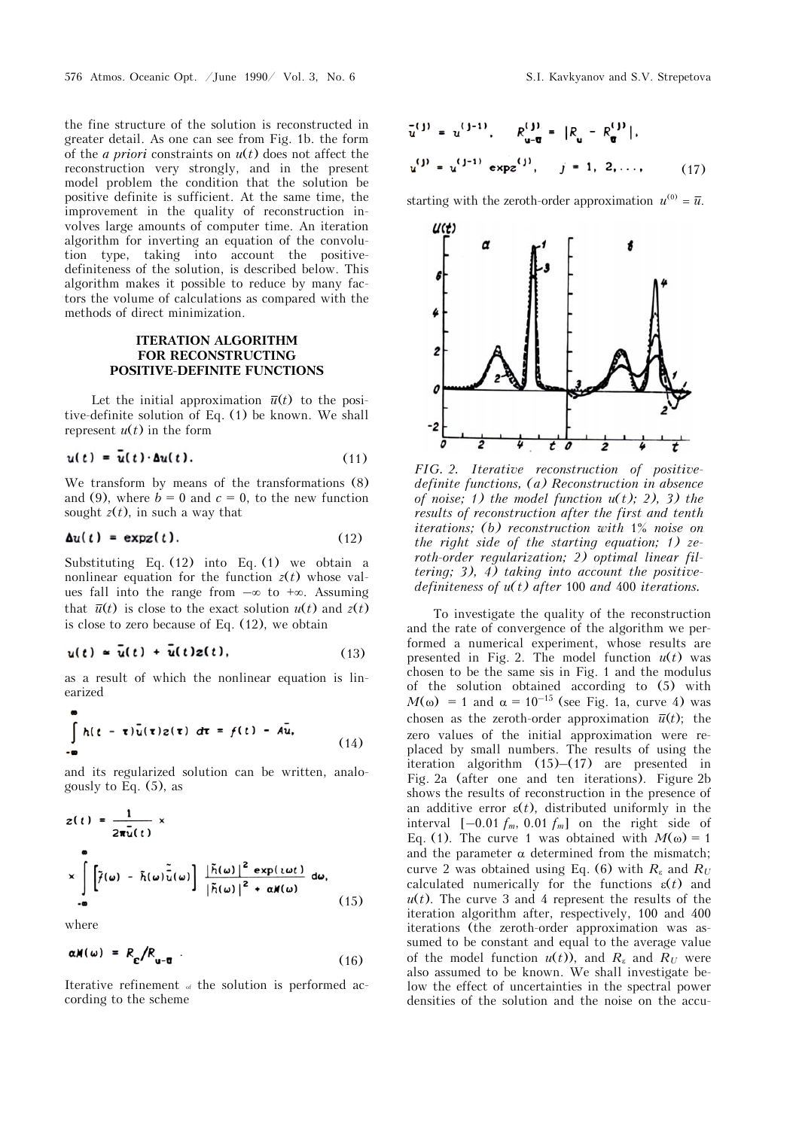the fine structure of the solution is reconstructed in greater detail. As one can see from Fig. 1b. the form of the *a priori* constraints on *u*(*t*) does not affect the reconstruction very strongly, and in the present model problem the condition that the solution be positive definite is sufficient. At the same time, the improvement in the quality of reconstruction involves large amounts of computer time. An iteration algorithm for inverting an equation of the convolution type, taking into account the positivedefiniteness of the solution, is described below. This algorithm makes it possible to reduce by many factors the volume of calculations as compared with the methods of direct minimization.

# **ITERATION ALGORITHM FOR RECONSTRUCTING POSITIVE-DEFINITE FUNCTIONS**

Let the initial approximation  $\bar{u}(t)$  to the positive-definite solution of Eq. (1) be known. We shall represent  $u(t)$  in the form

$$
u(t) = u(t) \cdot \Delta u(t). \tag{11}
$$

We transform by means of the transformations (8) and (9), where  $b = 0$  and  $c = 0$ , to the new function sought  $z(t)$ , in such a way that

$$
\Delta u(t) = \exp(z).
$$
 (12)

Substituting Eq. (12) into Eq. (1) we obtain a nonlinear equation for the function  $z(t)$  whose values fall into the range from  $-\infty$  to  $+\infty$ . Assuming that  $\bar{u}(t)$  is close to the exact solution  $u(t)$  and  $z(t)$ is close to zero because of Eq. (12), we obtain

$$
u(t) \approx \bar{u}(t) + \bar{u}(t)z(t), \qquad (13)
$$

as a result of which the nonlinear equation is linearized

$$
\int_{-\infty}^{\infty} h(t-\tau)\overline{u}(\tau)z(\tau) d\tau = f(t) - A\overline{u},
$$
\n(14)

and its regularized solution can be written, analogously to Eq. (5), as

$$
z(t) = \frac{1}{2\pi\bar{u}(t)} \times
$$
  
\n
$$
\times \int_{-\infty}^{\infty} \left[ \tilde{f}(\omega) - \tilde{h}(\omega)\tilde{u}(\omega) \right] \frac{|\tilde{h}(\omega)|^2 \exp(i\omega t)}{|\tilde{h}(\omega)|^2 + \alpha N(\omega)} d\omega,
$$
\n(15)

where

$$
\alpha M(\omega) = R_{\varepsilon}/R_{\mathbf{u}-\overline{\mathbf{u}}} \tag{16}
$$

Iterative refinement of the solution is performed according to the scheme

$$
\bar{u}^{(j)} = u^{(j-1)}, \qquad R_{u-\overline{u}}^{(j)} = |R_u - R_{\overline{u}}^{(j)}|,
$$
  

$$
u^{(j)} = u^{(j-1)} \exp(z^{(j)}, \qquad j = 1, 2, ..., \qquad (17)
$$

starting with the zeroth-order approximation  $u^{(0)} = \bar{u}$ .



*FIG. 2. Iterative reconstruction of positivedefinite functions, (a) Reconstruction in absence of noise; 1) the model function*  $u(t)$ *; 2), 3) the results of reconstruction after the first and tenth iterations; (b) reconstruction with* 1% *noise on the right side of the starting equation; 1) zeroth-order regularization; 2) optimal linear filtering; 3), 4) taking into account the positivedefiniteness of u(t) after* 100 *and* 400 *iterations.*

To investigate the quality of the reconstruction and the rate of convergence of the algorithm we performed a numerical experiment, whose results are presented in Fig. 2. The model function  $u(t)$  was chosen to be the same sis in Fig. 1 and the modulus of the solution obtained according to (5) with  $M(\omega) = 1$  and  $\alpha = 10^{-15}$  (see Fig. 1a, curve 4) was chosen as the zeroth-order approximation  $\bar{u}(t)$ ; the zero values of the initial approximation were replaced by small numbers. The results of using the iteration algorithm (15)–(17) are presented in Fig. 2a (after one and ten iterations). Figure 2b shows the results of reconstruction in the presence of an additive error  $\varepsilon(t)$ , distributed uniformly in the interval  $[-0.01 \, f_m, 0.01 \, f_m]$  on the right side of Eq. (1). The curve 1 was obtained with  $M(\omega) = 1$ and the parameter  $\alpha$  determined from the mismatch; curve 2 was obtained using Eq. (6) with  $R_{\varepsilon}$  and  $R_U$ calculated numerically for the functions  $\varepsilon(t)$  and  $u(t)$ . The curve 3 and 4 represent the results of the iteration algorithm after, respectively, 100 and 400 iterations (the zeroth-order approximation was assumed to be constant and equal to the average value of the model function  $u(t)$ , and  $R_{\varepsilon}$  and  $R_U$  were also assumed to be known. We shall investigate below the effect of uncertainties in the spectral power densities of the solution and the noise on the accu